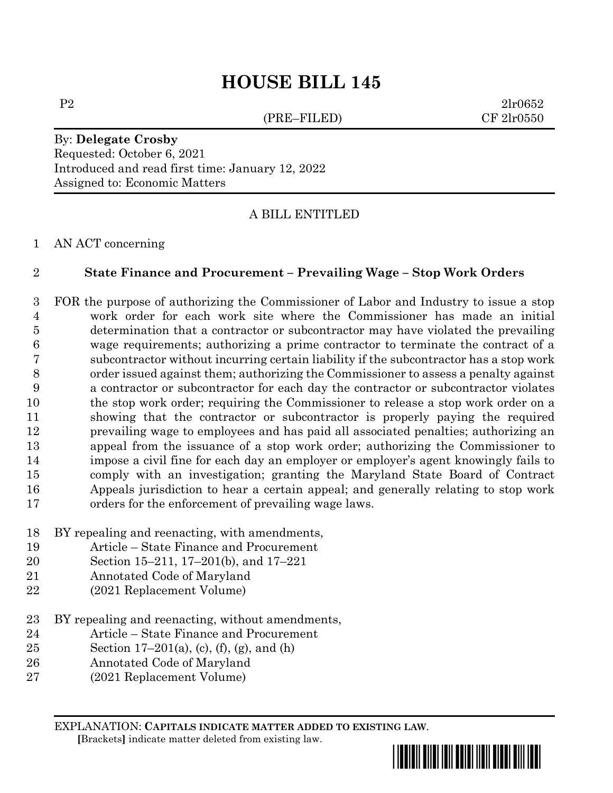# **HOUSE BILL 145**

(PRE–FILED) CF 2lr0550

P2 2lr0652

By: **Delegate Crosby** Requested: October 6, 2021 Introduced and read first time: January 12, 2022 Assigned to: Economic Matters

#### A BILL ENTITLED

AN ACT concerning

#### **State Finance and Procurement – Prevailing Wage – Stop Work Orders**

 FOR the purpose of authorizing the Commissioner of Labor and Industry to issue a stop work order for each work site where the Commissioner has made an initial determination that a contractor or subcontractor may have violated the prevailing wage requirements; authorizing a prime contractor to terminate the contract of a subcontractor without incurring certain liability if the subcontractor has a stop work order issued against them; authorizing the Commissioner to assess a penalty against a contractor or subcontractor for each day the contractor or subcontractor violates the stop work order; requiring the Commissioner to release a stop work order on a showing that the contractor or subcontractor is properly paying the required prevailing wage to employees and has paid all associated penalties; authorizing an appeal from the issuance of a stop work order; authorizing the Commissioner to impose a civil fine for each day an employer or employer's agent knowingly fails to comply with an investigation; granting the Maryland State Board of Contract Appeals jurisdiction to hear a certain appeal; and generally relating to stop work orders for the enforcement of prevailing wage laws.

- BY repealing and reenacting, with amendments,
- Article State Finance and Procurement
- Section 15–211, 17–201(b), and 17–221
- Annotated Code of Maryland
- (2021 Replacement Volume)
- BY repealing and reenacting, without amendments,
- Article State Finance and Procurement
- 25 Section 17–201(a), (c), (f), (g), and (h)
- Annotated Code of Maryland
- (2021 Replacement Volume)

EXPLANATION: **CAPITALS INDICATE MATTER ADDED TO EXISTING LAW**.  **[**Brackets**]** indicate matter deleted from existing law.

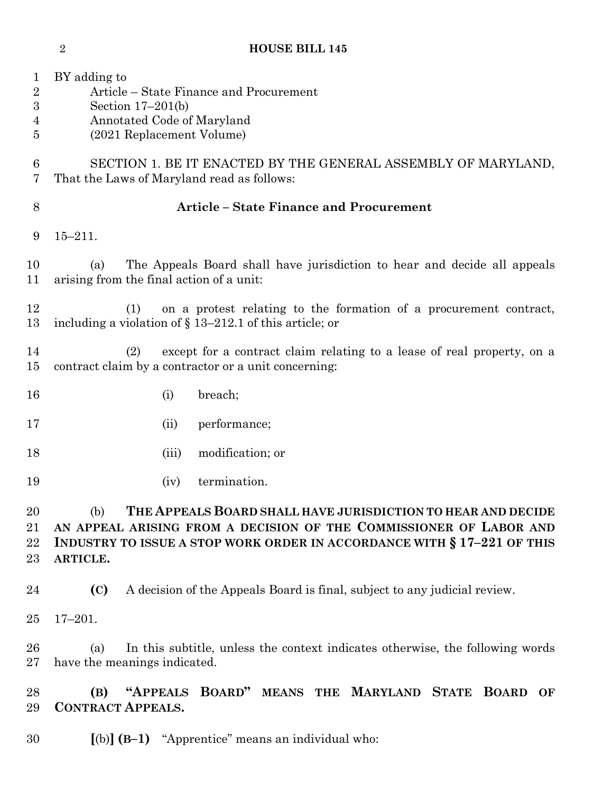BY adding to Article – State Finance and Procurement Section 17–201(b) Annotated Code of Maryland (2021 Replacement Volume) SECTION 1. BE IT ENACTED BY THE GENERAL ASSEMBLY OF MARYLAND, That the Laws of Maryland read as follows: **Article – State Finance and Procurement** 15–211. (a) The Appeals Board shall have jurisdiction to hear and decide all appeals arising from the final action of a unit: (1) on a protest relating to the formation of a procurement contract, including a violation of § 13–212.1 of this article; or (2) except for a contract claim relating to a lease of real property, on a contract claim by a contractor or a unit concerning: 16 (i) breach; (ii) performance; (iii) modification; or (iv) termination. (b) **THE APPEALS BOARD SHALL HAVE JURISDICTION TO HEAR AND DECIDE AN APPEAL ARISING FROM A DECISION OF THE COMMISSIONER OF LABOR AND INDUSTRY TO ISSUE A STOP WORK ORDER IN ACCORDANCE WITH § 17–221 OF THIS ARTICLE. (C)** A decision of the Appeals Board is final, subject to any judicial review. 17–201. (a) In this subtitle, unless the context indicates otherwise, the following words have the meanings indicated. **(B) "APPEALS BOARD" MEANS THE MARYLAND STATE BOARD OF CONTRACT APPEALS. [**(b)**] (B–1)** "Apprentice" means an individual who:

**HOUSE BILL 145**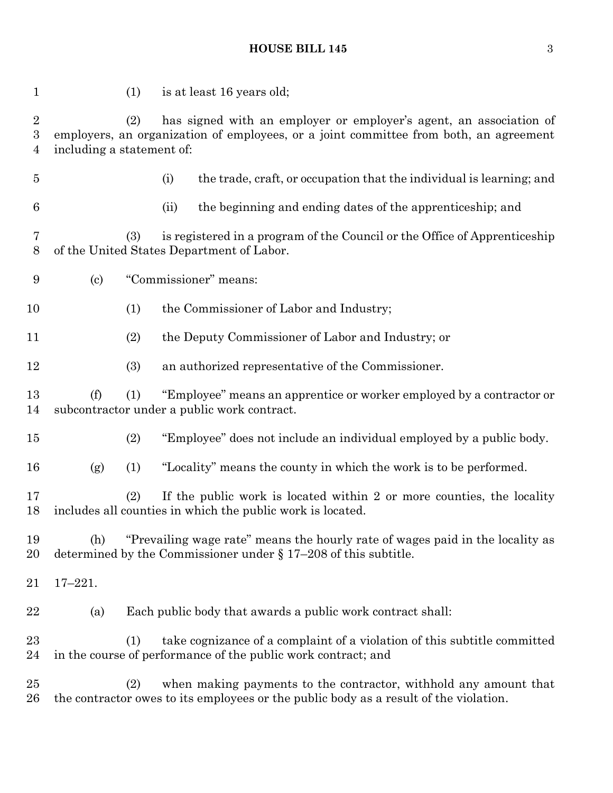# **HOUSE BILL 145** 3

| $\mathbf{1}$                                     | (1)                                                                                                                                                                                             |                                                                                                                                            | is at least 16 years old;                                                                                                                                 |  |  |
|--------------------------------------------------|-------------------------------------------------------------------------------------------------------------------------------------------------------------------------------------------------|--------------------------------------------------------------------------------------------------------------------------------------------|-----------------------------------------------------------------------------------------------------------------------------------------------------------|--|--|
| $\sqrt{2}$<br>$\boldsymbol{3}$<br>$\overline{4}$ | has signed with an employer or employer's agent, an association of<br>(2)<br>employers, an organization of employees, or a joint committee from both, an agreement<br>including a statement of: |                                                                                                                                            |                                                                                                                                                           |  |  |
| $\overline{5}$                                   |                                                                                                                                                                                                 | (i)                                                                                                                                        | the trade, craft, or occupation that the individual is learning; and                                                                                      |  |  |
| 6                                                |                                                                                                                                                                                                 | (ii)                                                                                                                                       | the beginning and ending dates of the apprenticeship; and                                                                                                 |  |  |
| 7<br>$8\,$                                       | (3)                                                                                                                                                                                             |                                                                                                                                            | is registered in a program of the Council or the Office of Apprenticeship<br>of the United States Department of Labor.                                    |  |  |
| 9                                                | $\left( \text{c} \right)$                                                                                                                                                                       | "Commissioner" means:                                                                                                                      |                                                                                                                                                           |  |  |
| 10                                               | (1)                                                                                                                                                                                             |                                                                                                                                            | the Commissioner of Labor and Industry;                                                                                                                   |  |  |
| 11                                               | (2)                                                                                                                                                                                             |                                                                                                                                            | the Deputy Commissioner of Labor and Industry; or                                                                                                         |  |  |
| 12                                               | (3)                                                                                                                                                                                             |                                                                                                                                            | an authorized representative of the Commissioner.                                                                                                         |  |  |
| 13<br>14                                         | "Employee" means an apprentice or worker employed by a contractor or<br>(f)<br>(1)<br>subcontractor under a public work contract.                                                               |                                                                                                                                            |                                                                                                                                                           |  |  |
| 15                                               | (2)                                                                                                                                                                                             |                                                                                                                                            | "Employee" does not include an individual employed by a public body.                                                                                      |  |  |
| 16                                               | (1)<br>(g)                                                                                                                                                                                      |                                                                                                                                            | "Locality" means the county in which the work is to be performed.                                                                                         |  |  |
| 17<br>18                                         |                                                                                                                                                                                                 | (2)<br>If the public work is located within 2 or more counties, the locality<br>includes all counties in which the public work is located. |                                                                                                                                                           |  |  |
| 19<br>20                                         | "Prevailing wage rate" means the hourly rate of wages paid in the locality as<br>(h)<br>determined by the Commissioner under $\S 17-208$ of this subtitle.                                      |                                                                                                                                            |                                                                                                                                                           |  |  |
| 21                                               | $17 - 221.$                                                                                                                                                                                     |                                                                                                                                            |                                                                                                                                                           |  |  |
| 22                                               | (a)                                                                                                                                                                                             |                                                                                                                                            | Each public body that awards a public work contract shall:                                                                                                |  |  |
| 23<br>24                                         | (1)                                                                                                                                                                                             |                                                                                                                                            | take cognizance of a complaint of a violation of this subtitle committed<br>in the course of performance of the public work contract; and                 |  |  |
| 25<br>26                                         | (2)                                                                                                                                                                                             |                                                                                                                                            | when making payments to the contractor, withhold any amount that<br>the contractor owes to its employees or the public body as a result of the violation. |  |  |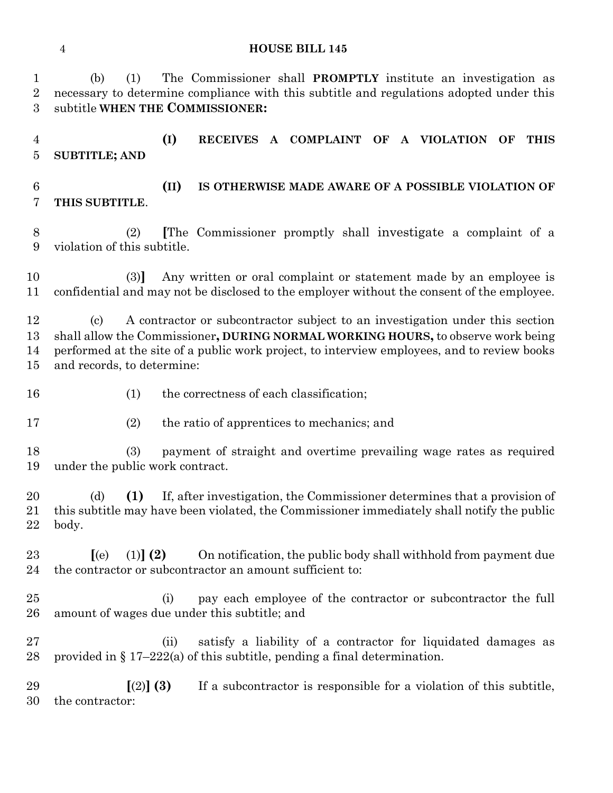# **HOUSE BILL 145**

| $\mathbf{1}$<br>$\sqrt{2}$<br>3  | The Commissioner shall <b>PROMPTLY</b> institute an investigation as<br>(1)<br>(b)<br>necessary to determine compliance with this subtitle and regulations adopted under this<br>subtitle WHEN THE COMMISSIONER:                                                                                     |  |  |  |  |
|----------------------------------|------------------------------------------------------------------------------------------------------------------------------------------------------------------------------------------------------------------------------------------------------------------------------------------------------|--|--|--|--|
| $\overline{4}$<br>$\overline{5}$ | (I)<br>RECEIVES A COMPLAINT OF A VIOLATION<br><b>THIS</b><br>OF<br><b>SUBTITLE; AND</b>                                                                                                                                                                                                              |  |  |  |  |
| $\,6$<br>7                       | (II)<br>IS OTHERWISE MADE AWARE OF A POSSIBLE VIOLATION OF<br>THIS SUBTITLE.                                                                                                                                                                                                                         |  |  |  |  |
| $8\,$<br>9                       | The Commissioner promptly shall investigate a complaint of a<br>(2)<br>violation of this subtitle.                                                                                                                                                                                                   |  |  |  |  |
| 10<br>11                         | Any written or oral complaint or statement made by an employee is<br>(3)<br>confidential and may not be disclosed to the employer without the consent of the employee.                                                                                                                               |  |  |  |  |
| 12<br>13<br>14<br>15             | A contractor or subcontractor subject to an investigation under this section<br>(c)<br>shall allow the Commissioner, DURING NORMAL WORKING HOURS, to observe work being<br>performed at the site of a public work project, to interview employees, and to review books<br>and records, to determine: |  |  |  |  |
| 16                               | the correctness of each classification;<br>(1)                                                                                                                                                                                                                                                       |  |  |  |  |
| 17                               | (2)<br>the ratio of apprentices to mechanics; and                                                                                                                                                                                                                                                    |  |  |  |  |
| 18<br>19                         | (3)<br>payment of straight and overtime prevailing wage rates as required<br>under the public work contract.                                                                                                                                                                                         |  |  |  |  |
| 20<br>21<br>22                   | If, after investigation, the Commissioner determines that a provision of<br>(1)<br>(d)<br>this subtitle may have been violated, the Commissioner immediately shall notify the public<br>body.                                                                                                        |  |  |  |  |
| 23<br>24                         | $(1)$ $(2)$<br>On notification, the public body shall withhold from payment due<br>(e)<br>the contractor or subcontractor an amount sufficient to:                                                                                                                                                   |  |  |  |  |
| 25<br>26                         | pay each employee of the contractor or subcontractor the full<br>(i)<br>amount of wages due under this subtitle; and                                                                                                                                                                                 |  |  |  |  |
| 27<br>28                         | satisfy a liability of a contractor for liquidated damages as<br>(ii)<br>provided in $\S 17-222(a)$ of this subtitle, pending a final determination.                                                                                                                                                 |  |  |  |  |
| 29<br>30                         | [(2)] (3)<br>If a subcontractor is responsible for a violation of this subtitle,<br>the contractor:                                                                                                                                                                                                  |  |  |  |  |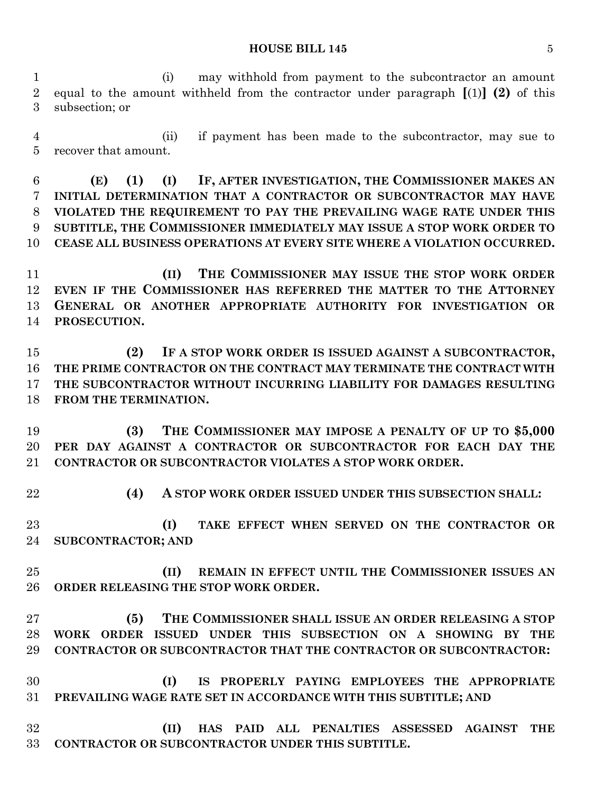#### **HOUSE BILL 145** 5

 (i) may withhold from payment to the subcontractor an amount equal to the amount withheld from the contractor under paragraph **[**(1)**] (2)** of this subsection; or

 (ii) if payment has been made to the subcontractor, may sue to recover that amount.

 **(E) (1) (I) IF, AFTER INVESTIGATION, THE COMMISSIONER MAKES AN INITIAL DETERMINATION THAT A CONTRACTOR OR SUBCONTRACTOR MAY HAVE VIOLATED THE REQUIREMENT TO PAY THE PREVAILING WAGE RATE UNDER THIS SUBTITLE, THE COMMISSIONER IMMEDIATELY MAY ISSUE A STOP WORK ORDER TO CEASE ALL BUSINESS OPERATIONS AT EVERY SITE WHERE A VIOLATION OCCURRED.**

 **(II) THE COMMISSIONER MAY ISSUE THE STOP WORK ORDER EVEN IF THE COMMISSIONER HAS REFERRED THE MATTER TO THE ATTORNEY GENERAL OR ANOTHER APPROPRIATE AUTHORITY FOR INVESTIGATION OR PROSECUTION.**

 **(2) IF A STOP WORK ORDER IS ISSUED AGAINST A SUBCONTRACTOR, THE PRIME CONTRACTOR ON THE CONTRACT MAY TERMINATE THE CONTRACT WITH THE SUBCONTRACTOR WITHOUT INCURRING LIABILITY FOR DAMAGES RESULTING FROM THE TERMINATION.**

 **(3) THE COMMISSIONER MAY IMPOSE A PENALTY OF UP TO \$5,000 PER DAY AGAINST A CONTRACTOR OR SUBCONTRACTOR FOR EACH DAY THE CONTRACTOR OR SUBCONTRACTOR VIOLATES A STOP WORK ORDER.**

**(4) A STOP WORK ORDER ISSUED UNDER THIS SUBSECTION SHALL:**

 **(I) TAKE EFFECT WHEN SERVED ON THE CONTRACTOR OR SUBCONTRACTOR; AND** 

 **(II) REMAIN IN EFFECT UNTIL THE COMMISSIONER ISSUES AN ORDER RELEASING THE STOP WORK ORDER.**

- **(5) THE COMMISSIONER SHALL ISSUE AN ORDER RELEASING A STOP WORK ORDER ISSUED UNDER THIS SUBSECTION ON A SHOWING BY THE CONTRACTOR OR SUBCONTRACTOR THAT THE CONTRACTOR OR SUBCONTRACTOR:**
- **(I) IS PROPERLY PAYING EMPLOYEES THE APPROPRIATE PREVAILING WAGE RATE SET IN ACCORDANCE WITH THIS SUBTITLE; AND**

 **(II) HAS PAID ALL PENALTIES ASSESSED AGAINST THE CONTRACTOR OR SUBCONTRACTOR UNDER THIS SUBTITLE.**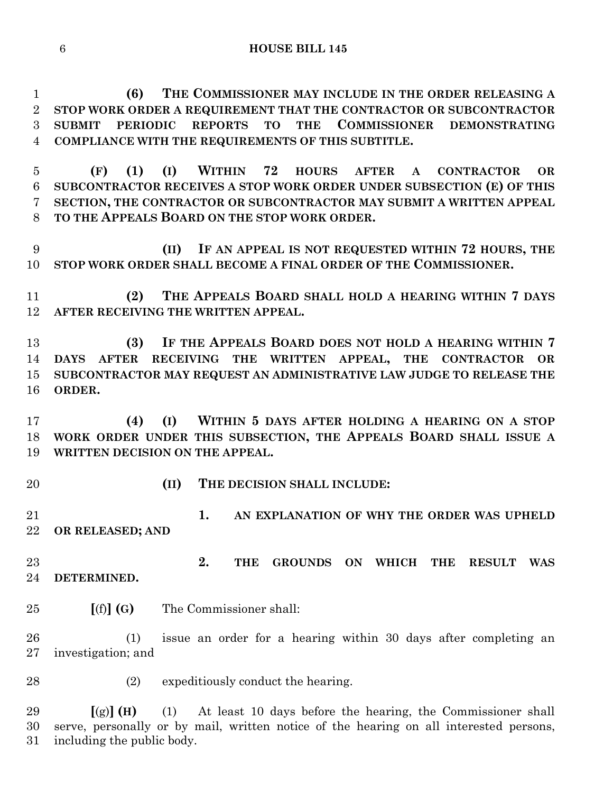**(6) THE COMMISSIONER MAY INCLUDE IN THE ORDER RELEASING A STOP WORK ORDER A REQUIREMENT THAT THE CONTRACTOR OR SUBCONTRACTOR SUBMIT PERIODIC REPORTS TO THE COMMISSIONER DEMONSTRATING COMPLIANCE WITH THE REQUIREMENTS OF THIS SUBTITLE.**

 **(F) (1) (I) WITHIN 72 HOURS AFTER A CONTRACTOR OR SUBCONTRACTOR RECEIVES A STOP WORK ORDER UNDER SUBSECTION (E) OF THIS SECTION, THE CONTRACTOR OR SUBCONTRACTOR MAY SUBMIT A WRITTEN APPEAL TO THE APPEALS BOARD ON THE STOP WORK ORDER.**

 **(II) IF AN APPEAL IS NOT REQUESTED WITHIN 72 HOURS, THE STOP WORK ORDER SHALL BECOME A FINAL ORDER OF THE COMMISSIONER.**

 **(2) THE APPEALS BOARD SHALL HOLD A HEARING WITHIN 7 DAYS AFTER RECEIVING THE WRITTEN APPEAL.**

 **(3) IF THE APPEALS BOARD DOES NOT HOLD A HEARING WITHIN 7 DAYS AFTER RECEIVING THE WRITTEN APPEAL, THE CONTRACTOR OR SUBCONTRACTOR MAY REQUEST AN ADMINISTRATIVE LAW JUDGE TO RELEASE THE ORDER.**

 **(4) (I) WITHIN 5 DAYS AFTER HOLDING A HEARING ON A STOP WORK ORDER UNDER THIS SUBSECTION, THE APPEALS BOARD SHALL ISSUE A WRITTEN DECISION ON THE APPEAL.**

- 
- **(II) THE DECISION SHALL INCLUDE:**

 **1. AN EXPLANATION OF WHY THE ORDER WAS UPHELD OR RELEASED; AND**

 **2. THE GROUNDS ON WHICH THE RESULT WAS DETERMINED.**

**[**(f)**] (G)** The Commissioner shall:

 (1) issue an order for a hearing within 30 days after completing an investigation; and

28 (2) expeditiously conduct the hearing.

 **[**(g)**] (H)** (1) At least 10 days before the hearing, the Commissioner shall serve, personally or by mail, written notice of the hearing on all interested persons, including the public body.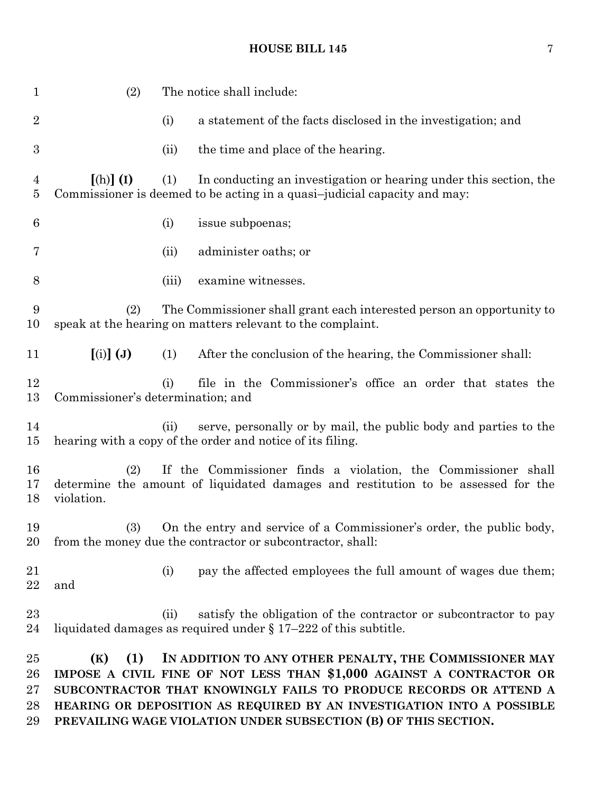# **HOUSE BILL 145** 7

| 1                                | (2)                                                                                                                                                                     |       | The notice shall include:                                                                                                                                                                                                                                                                                                                       |  |  |
|----------------------------------|-------------------------------------------------------------------------------------------------------------------------------------------------------------------------|-------|-------------------------------------------------------------------------------------------------------------------------------------------------------------------------------------------------------------------------------------------------------------------------------------------------------------------------------------------------|--|--|
| $\overline{2}$                   |                                                                                                                                                                         | (i)   | a statement of the facts disclosed in the investigation; and                                                                                                                                                                                                                                                                                    |  |  |
| $\boldsymbol{3}$                 |                                                                                                                                                                         | (ii)  | the time and place of the hearing.                                                                                                                                                                                                                                                                                                              |  |  |
| $\overline{4}$<br>$\overline{5}$ | $[(h)]$ (I)                                                                                                                                                             | (1)   | In conducting an investigation or hearing under this section, the<br>Commissioner is deemed to be acting in a quasi-judicial capacity and may:                                                                                                                                                                                                  |  |  |
| 6                                |                                                                                                                                                                         | (i)   | issue subpoenas;                                                                                                                                                                                                                                                                                                                                |  |  |
| 7                                |                                                                                                                                                                         | (ii)  | administer oaths; or                                                                                                                                                                                                                                                                                                                            |  |  |
| 8                                |                                                                                                                                                                         | (iii) | examine witnesses.                                                                                                                                                                                                                                                                                                                              |  |  |
| 9<br>10                          | The Commissioner shall grant each interested person an opportunity to<br>(2)<br>speak at the hearing on matters relevant to the complaint.                              |       |                                                                                                                                                                                                                                                                                                                                                 |  |  |
| 11                               | $\left[\left(i\right)\right]\left(\mathbf{J}\right)$                                                                                                                    | (1)   | After the conclusion of the hearing, the Commissioner shall:                                                                                                                                                                                                                                                                                    |  |  |
| 12<br>13                         | Commissioner's determination; and                                                                                                                                       | (i)   | file in the Commissioner's office an order that states the                                                                                                                                                                                                                                                                                      |  |  |
| 14<br>15                         |                                                                                                                                                                         | (ii)  | serve, personally or by mail, the public body and parties to the<br>hearing with a copy of the order and notice of its filing.                                                                                                                                                                                                                  |  |  |
| 16<br>17<br>18                   | If the Commissioner finds a violation, the Commissioner shall<br>(2)<br>determine the amount of liquidated damages and restitution to be assessed for the<br>violation. |       |                                                                                                                                                                                                                                                                                                                                                 |  |  |
| 19<br>20                         | (3)                                                                                                                                                                     |       | On the entry and service of a Commissioner's order, the public body,<br>from the money due the contractor or subcontractor, shall:                                                                                                                                                                                                              |  |  |
| 21<br>22                         | and                                                                                                                                                                     | (i)   | pay the affected employees the full amount of wages due them;                                                                                                                                                                                                                                                                                   |  |  |
| 23<br>24                         |                                                                                                                                                                         | (ii)  | satisfy the obligation of the contractor or subcontractor to pay<br>liquidated damages as required under $\S 17-222$ of this subtitle.                                                                                                                                                                                                          |  |  |
| 25<br>26<br>27<br>28<br>29       | (1)<br>(K)                                                                                                                                                              |       | IN ADDITION TO ANY OTHER PENALTY, THE COMMISSIONER MAY<br>IMPOSE A CIVIL FINE OF NOT LESS THAN \$1,000 AGAINST A CONTRACTOR OR<br>SUBCONTRACTOR THAT KNOWINGLY FAILS TO PRODUCE RECORDS OR ATTEND A<br>HEARING OR DEPOSITION AS REQUIRED BY AN INVESTIGATION INTO A POSSIBLE<br>PREVAILING WAGE VIOLATION UNDER SUBSECTION (B) OF THIS SECTION. |  |  |